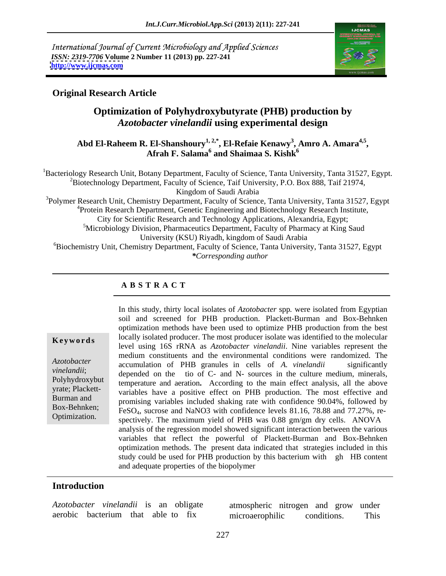International Journal of Current Microbiology and Applied Sciences *ISSN: 2319-7706* **Volume 2 Number 11 (2013) pp. 227-241 <http://www.ijcmas.com>**



# **Original Research Article**

# **Optimization of Polyhydroxybutyrate (PHB) production by**  *Azotobacter vinelandii* **using experimental design**

## **Abd El-Raheem R. El-Shanshoury1, 2,\*, El-Refaie Kenawy3 , Amro A. Amara4,5, Afrah F. Salama<sup>6</sup> and Shaimaa S. Kishk<sup>6</sup>**

<sup>1</sup>Bacteriology Research Unit, Botany Department, Faculty of Science, Tanta University, Tanta 31527, Egypt. <sup>2</sup>Biotechnology Department, Faculty of Science, Taif University, P.O. Box 888, Taif 21974, Kingdom of Saudi Arabia

<sup>3</sup>Polymer Research Unit, Chemistry Department, Faculty of Science, Tanta University, Tanta 31527, Egypt <sup>4</sup> Protein Research Department, Genetic Engineering and Biotechnology Research Institute, City for Scientific Research and Technology Applications, Alexandria, Egypt; 5 <sup>5</sup>Microbiology Division, Pharmaceutics Department, Faculty of Pharmacy at King Saud University (KSU) Riyadh, kingdom of Saudi Arabia <sup>6</sup>Biochemistry Unit, Chemistry Department, Faculty of Science, Tanta University, Tanta 31527, Egypt

*\*Corresponding author*

## **A B S T R A C T**

#### **Ke ywo rds**

*Azotobacter vinelandii*; Polyhydroxybut yrate; Plackett-Burman and Box-Behnken; Optimization.

In this study, thirty local isolates of *Azotobacter* spp*.* were isolated from Egyptian soil and screened for PHB production. Plackett-Burman and Box-Behnken optimization methods have been used to optimize PHB production from the best locally isolated producer. The most producer isolate was identified to the molecular level using 16S rRNA as *Azotobacter vinelandii*. Nine variables represent the medium constituents and the environmental conditions were randomized. The accumulation of PHB granules in cells of *A. vinelandii* significantly depended on the tio of C- and N- sources in the culture medium, minerals, temperature and aeration**.** According to the main effect analysis, all the above variables have a positive effect on PHB production. The most effective and promising variables included shaking rate with confidence 90.04%, followed by FeSO4, sucrose and NaNO3 with confidence levels 81.16, 78.88 and 77.27%, respectively. The maximum yield of PHB was 0.88 gm/gm dry cells. ANOVA analysis of the regression model showed significant interaction between the various variables that reflect the powerful of Plackett-Burman and Box-Behnken optimization methods. The present data indicated that strategies included in this study could be used for PHB production by this bacterium with gh HB content and adequate properties of the biopolymer

#### **Introduction**

*Azotobacter vinelandii* is an obligate aerobic bacterium that able to fix

atmospheric nitrogen and grow under microaerophilic conditions. This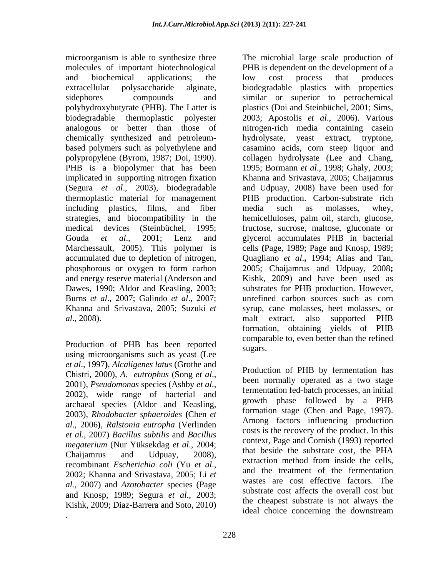polyhydroxybutyrate (PHB). The Latter is chemically synthesized and petroleum-<br>hydrolysate, yeast extract, tryptone, implicated in supporting nitrogen fixation (Segura *et al*., 2003), biodegradable including plastics, films, and fiber media such as molasses, whey, and energy reserve material (Anderson and

Production of PHB has been reported<br>using microorganisms such as yeast (Lee *et al*., 1997**)**, *Alcaligenes latus* (Grothe and Chistri, 2000), *A. eutrophus* (Song *et al*., 2001), *Pseudomonas* species (Ashby *et al*., 2002), wide range of bacterial and archaeal species (Aldor and Keasling, and growth phase followed by a PHB<br>2002) Blockhartan anhanyidas (Chan et formation stage (Chen and Page, 1997). 2003), *Rhodobacter sphaeroides* (Chen *et* **contract of** *chen* and rage, 1997). *al*., 2006**)**, *Ralstonia eutropha* (Verlinden *et al*., 2007) *Bacillus subtilis* and *Bacillus megaterium* (Nur Yüksekdag *et al*., 2004; recombinant *Escherichia coli* (Yu *et al*., 2002; Khanna and Srivastava, 2005; Li *et al.*, 2007) and *Azotobacter* species (Page and Knosp, 1989; Segura *et al*., 2003; Kishk, 2009; Diaz-Barrera and Soto, 2010)

microorganism is able to synthesize three The microbial large scale production of molecules of important biotechnological PHB is dependent on the development of a and biochemical applications; the low cost process that produces extracellular polysaccharide alginate, biodegradable plastics with properties sidephores compounds and similar or superior to petrochemical biodegradable thermoplastic polyester 2003; Apostolis *et al*., 2006). Various analogous or better than those of nitrogen-rich media containing casein based polymers such as polyethylene and casamino acids, corn steep liquor and polypropylene (Byrom, 1987; Doi, 1990). collagen hydrolysate (Lee and Chang, PHB is a biopolymer that has been 1995; Bormann *et al*., 1998; Ghaly, 2003; thermoplastic material for management PHB production. Carbon-substrate rich strategies, and biocompatibility in the hemicelluloses, palm oil, starch, glucose, medical devices (Steinbüchel, 1995; fructose, sucrose, maltose, gluconate or Gouda *et al*., 2001; Lenz and glycerol accumulates PHB in bacterial Marchessault, 2005). This polymer is cells **(**Page, 1989; Page and Knosp, 1989; accumulated due to depletion of nitrogen, Quagliano *et al*.**,** 1994; Alias and Tan, phosphorous or oxygen to form carbon 2005; Chaijamrus and Udpuay, 2008**;** Dawes, 1990; Aldor and Keasling, 2003; substrates for PHB production. However, Burns *et al*., 2007; Galindo *et al*., 2007; unrefined carbon sources such as corn Khanna and Srivastava, 2005; Suzuki *et*  syrup, cane molasses, beet molasses, or *al.*, 2008).<br> *al.*, 2008). PHB has been reported to a malter than the refined perioduction of PHB has been reported suggests and the refined suggests. low cost process that produces plastics (Doi and Steinbüchel, 2001; Sims, hydrolysate, yeast extract, tryptone, Khanna and Srivastava, 2005; Chaijamrus and Udpuay, 2008) have been used for media such as molasses, whey, Kishk, 2009) and have been used as malt extract, also supported PHB formation, obtaining yields of PHB comparable to, even better than the refined sugars.

Chaijamrus and Udpuay, 2008), that beside the substrate cost, the FITA ideal choice concerning the downstream. Production of PHB by fermentation has been normally operated as a two stage fermentation fed-batch processes, an initial growth phase followed by a PHB formation stage (Chen and Page, 1997). Among factors influencing production costs is the recovery of the product. In this context, Page and Cornish (1993) reported that beside the substrate cost, the PHA extraction method from inside the cells, and the treatment of the fermentation wastes are cost effective factors. The substrate cost affects the overall cost but the cheapest substrate is not always the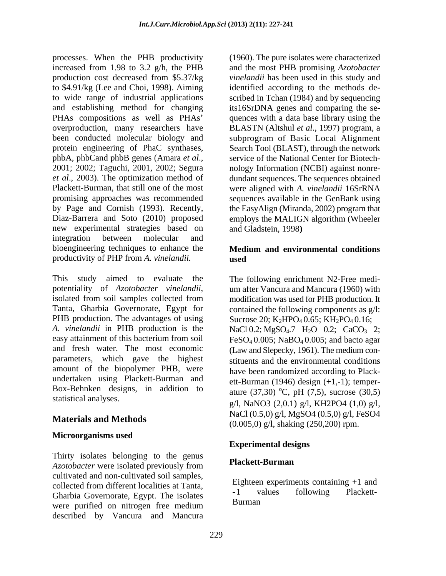processes. When the PHB productivity increased from 1.98 to 3.2 g/h, the PHB production cost decreased from \$5.37/kg to \$4.91/kg (Lee and Choi, 1998). Aiming to wide range of industrial applications and establishing method for changing PHAs compositions as well as PHAs' overproduction, many researchers have been conducted molecular biology and protein engineering of PhaC synthases, phbA, phbCand phbB genes (Amara *et al*., 2001; 2002; Taguchi, 2001, 2002; Segura *et al*., 2003). The optimization method of Plackett-Burman, that still one of the most promising approaches was recommended by Page and Cornish (1993). Recently, Diaz-Barrera and Soto (2010) proposed new experimental strategies based on integration between molecular and bioengineering techniques to enhance the productivity of PHP from *A. vinelandii.*

This study aimed to evaluate the potentiality of *Azotobacter vinelandii*, isolated from soil samples collected from Tanta, Gharbia Governorate, Egypt for PHB production. The advantages of using *A. vinelandii* in PHB production is the easy attainment of this bacterium from soil and fresh water. The most economic parameters, which gave the highest amount of the biopolymer PHB, were undertaken using Plackett-Burman and Box-Behnken designs, in addition to statistical analyses.

# **Materials and Methods**

## **Microorganisms used**

Thirty isolates belonging to the genus *Azotobacter* were isolated previously from cultivated and non-cultivated soil samples, collected from different localities at Tanta, Gharbia Governorate, Egypt. The isolates were purified on nitrogen free medium described by Vancura and Mancura

(1960). The pure isolates were characterized and the most PHB promising *Azotobacter vinelandii* has been used in this study and identified according to the methods described in Tchan (1984) and by sequencing its16SrDNA genes and comparing the sequences with a data base library using the BLASTN (Altshul *et al*., 1997) program, a subprogram of Basic Local Alignment Search Tool (BLAST), through the network service of the National Center for Biotechnology Information (NCBI) against nonredundant sequences. The sequences obtained were aligned with *A. vinelandii* 16SrRNA sequences available in the GenBank using the EasyAlign (Miranda, 2002) program that employs the MALIGN algorithm (Wheeler and Gladstein, 1998**)** 

## **Medium and environmental conditions used**

The following enrichment N2-Free medium after Vancura and Mancura (1960) with modification was used for PHB production. It contained the following components as g/l: Sucrose 20; K<sub>2</sub>HPO<sub>4</sub> 0.65; KH<sub>2</sub>PO<sub>4</sub> 0.16; NaCl 0.2; MgSO<sub>4</sub>.7 H<sub>2</sub>O 0.2; CaCO<sub>3</sub> 2;  $FeSO<sub>4</sub> 0.005$ ; NaBO<sub>4</sub> 0.005; and bacto agar (Law and Slepecky, 1961). The medium constituents and the environmental conditions have been randomized according to Plackett-Burman (1946) design (+1,-1); temperature (37,30)  $^{\circ}$ C, pH (7,5), sucrose (30,5) g/l, NaNO3 (2,0.1) g/l, KH2PO4 (1,0) g/l, NaCl (0.5,0) g/l, MgSO4 (0.5,0) g/l, FeSO4 (0.005,0) g/l, shaking (250,200) rpm.

# **Experimental designs**

## **Plackett-Burman**

Eighteen experiments containing +1 and -1 values following Plackett-Burman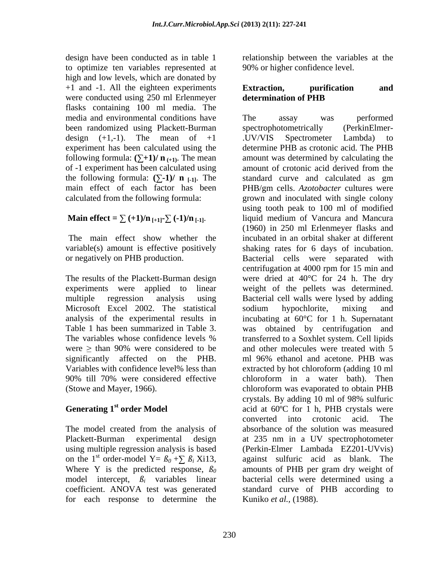design have been conducted as in table 1 to optimize ten variables represented at high and low levels, which are donated by +1 and -1. All the eighteen experiments were conducted using 250 ml Erlenmeyer flasks containing 100 ml media. The media and environmental conditions have been randomized using Plackett-Burman design  $(+1,-1)$ . The mean of  $+1$ experiment has been calculated using the following formula:  $(\sum +1)/n$  <sub>(+1)</sub>. The mean of -1 experiment has been calculated using the following formula:  $(\sum -1)/n$   $\Gamma_{1,1}$ . The main effect of each factor has been calculated from the following formula:

# **Main effect =**  $\sum$  (+1)/n<sub>[+1]</sub> $\sum$  (-1)/n<sub>[-1]</sub>.

 The main effect show whether the variable(s) amount is effective positively or negatively on PHB production.

The results of the Plackett-Burman design experiments were applied to linear multiple regression analysis using Microsoft Excel 2002. The statistical analysis of the experimental results in Table 1 has been summarized in Table 3. The variables whose confidence levels % were  $\ge$  than 90% were considered to be significantly affected on the PHB. Variables with confidence level% less than 90% till 70% were considered effective (Stowe and Mayer, 1966).

# **Generating 1st order Model**

The model created from the analysis of Plackett-Burman experimental design using multiple regression analysis is based on the 1<sup>st</sup> order-model Y=  $\beta_0 + \sum \beta_i$  Xi13, Where Y is the predicted response,  $\beta_0$ model intercept, *ßi* variables linear coefficient. ANOVA test was generated for each response to determine the

relationship between the variables at the 90% or higher confidence level.

## **Extraction, purification and determination of PHB**

The assay was performed spectrophotometrically (PerkinElmer- .UV/VIS Spectrometer Lambda) to determine PHB as crotonic acid. The PHB amount was determined by calculating the amount of crotonic acid derived from the standard curve and calculated as gm PHB/gm cells. *Azotobacter* cultures were grown and inoculated with single colony using tooth peak to 100 ml of modified liquid medium of Vancura and Mancura (1960) in 250 ml Erlenmeyer flasks and incubated in an orbital shaker at different shaking rates for 6 days of incubation. Bacterial cells were separated with centrifugation at 4000 rpm for 15 min and were dried at 40°C for 24 h. The dry weight of the pellets was determined. Bacterial cell walls were lysed by adding sodium hypochlorite, mixing and incubating at 60°C for 1 h. Supernatant was obtained by centrifugation and transferred to a Soxhlet system. Cell lipids and other molecules were treated with 5 ml 96% ethanol and acetone. PHB was extracted by hot chloroform (adding 10 ml chloroform in a water bath). Then chloroform was evaporated to obtain PHB crystals. By adding 10 ml of 98% sulfuric acid at 60ºC for 1 h, PHB crystals were converted into crotonic acid. The absorbance of the solution was measured at 235 nm in a UV spectrophotometer (Perkin-Elmer Lambada EZ201-UVvis) against sulfuric acid as blank. The amounts of PHB per gram dry weight of bacterial cells were determined using a standard curve of PHB according to Kuniko *et al.,* (1988).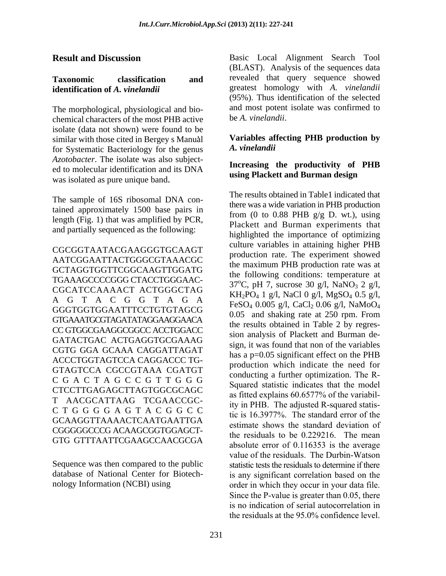#### **Result and Discussion**

#### **Taxonomic classification and identification of** *A. vinelandii*

The morphological, physiological and biochemical characters of the most PHB active isolate (data not shown) were found to be similar with those cited in Bergey s Manual for Systematic Bacteriology for the genus *Azotobacter*. The isolate was also subjected to molecular identification and its DNA was isolated as pure unique band.

The sample of 16S ribosomal DNA contained approximately 1500 base pairs in length (Fig. 1) that was amplified by PCR, and partially sequenced as the following:

CGCGGTAATACGAAGGGTGCAAGT AATCGGAATTACTGGGCGTAAACGC GCTAGGTGGTTCGGCAAGTTGGATG TGAAAGCCCCGGG CTACCTGGGAAC-CGCATCCAAAACT ACTGGGCTAG AGTACGGTAGA GGGTGGTGGAATTTCCTGTGTAGCG GTGAAATGCGTAGATATAGGAAGGAACA CC GTGGCGAAGGCGGCC ACCTGGACC GATACTGAC ACTGAGGTGCGAAAG CGTG GGA GCAAA CAGGATTAGAT ACCCTGGTAGTCCA CAGGACCC TG-GTAGTCCA CGCCGTAAA CGATGT CGACTAGCCGTTGGG CTCCTTGAGAGCTTAGTGGCGCAGC T AACGCATTAAG TCGAACCGC-CTGGGGAGTACGGCC GCAAGGTTAAAACTCAATGAATTGA CGGGGGCCCG ACAAGCGGTGGAGCT-GTG GTTTAATTCGAAGCCAACGCGA

Sequence was then compared to the public database of National Center for Biotechnology Information (NCBI) using

Basic Local Alignment Search Tool (BLAST). Analysis of the sequences data revealed that query sequence showed greatest homology with *A. vinelandii*  (95%). Thus identification of the selected and most potent isolate was confirmed to be *A. vinelandii*.

#### **Variables affecting PHB production by**  *A. vinelandii*

#### **Increasing the productivity of PHB using Plackett and Burman design**

The results obtained in Table1 indicated that there was a wide variation in PHB production from (0 to 0.88 PHB  $g/g$  D. wt.), using Plackett and Burman experiments that highlighted the importance of optimizing culture variables in attaining higher PHB production rate. The experiment showed the maximum PHB production rate was at the following conditions: temperature at  $37^{\circ}$ C, pH 7, sucrose 30 g/l, NaNO<sub>3</sub> 2 g/l, KH2PO4 1 g/l, NaCl 0 g/l, MgSO4 0.5 g/l, FeSO<sub>4</sub> 0.005 g/l, CaCl<sub>2</sub> 0.06 g/l, NaMoO<sub>4</sub> 0.05 and shaking rate at 250 rpm. From the results obtained in Table 2 by regression analysis of Plackett and Burman design, it was found that non of the variables has a p=0.05 significant effect on the PHB production which indicate the need for conducting a further optimization. The R-Squared statistic indicates that the model as fitted explains 60.6577% of the variability in PHB. The adjusted R-squared statistic is 16.3977%. The standard error of the estimate shows the standard deviation of the residuals to be 0.229216. The mean absolute error of 0.116353 is the average value of the residuals. The Durbin-Watson statistic tests the residuals to determine if there is any significant correlation based on the order in which they occur in your data file. Since the P-value is greater than 0.05, there is no indication of serial autocorrelation in the residuals at the 95.0% confidence level.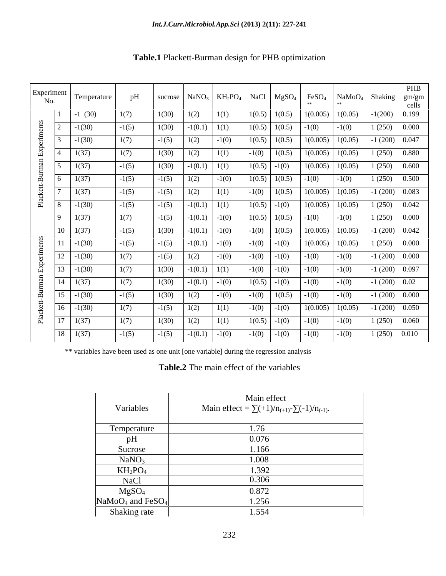| Experiment<br>No.           |                | Temperature | pH      | sucrose | NaNO <sub>3</sub> | $KH_2PO_4$ | <b>NaCl</b> | MgSO <sub>4</sub> | FeSO <sub>4</sub><br>** | NaMoO <sub>4</sub><br>$**$ | Shaking   | <b>PHB</b><br>gm/gm<br>cells |
|-----------------------------|----------------|-------------|---------|---------|-------------------|------------|-------------|-------------------|-------------------------|----------------------------|-----------|------------------------------|
| Plackett-Burman Experiments | 1              | $-1(30)$    | 1(7)    | 1(30)   | 1(2)              | 1(1)       | 1(0.5)      | 1(0.5)            | 1(0.005)                | 1(0.05)                    | $-1(200)$ | 0.199                        |
|                             | $\overline{2}$ | $-1(30)$    | $-1(5)$ | 1(30)   | $-1(0.1)$         | 1(1)       | 1(0.5)      | 1(0.5)            | $-1(0)$                 | $-1(0)$                    | 1(250)    | 0.000                        |
|                             | 3              | $-1(30)$    | 1(7)    | $-1(5)$ | 1(2)              | $-1(0)$    | 1(0.5)      | 1(0.5)            | 1(0.005)                | 1(0.05)                    | $-1(200)$ | 0.047                        |
|                             | 4              | 1(37)       | 1(7)    | 1(30)   | 1(2)              | 1(1)       | $-1(0)$     | 1(0.5)            | 1(0.005)                | 1(0.05)                    | 1(250)    | 0.880                        |
|                             | 5              | 1(37)       | $-1(5)$ | 1(30)   | $-1(0.1)$         | 1(1)       | 1(0.5)      | $-1(0)$           | 1(0.005)                | 1(0.05)                    | 1(250)    | 0.600                        |
|                             | 6              | 1(37)       | $-1(5)$ | $-1(5)$ | 1(2)              | $-1(0)$    | 1(0.5)      | 1(0.5)            | $-1(0)$                 | $-1(0)$                    | 1(250)    | 0.500                        |
|                             | 7              | 1(37)       | $-1(5)$ | $-1(5)$ | 1(2)              | 1(1)       | $-1(0)$     | 1(0.5)            | 1(0.005)                | 1(0.05)                    | $-1(200)$ | 0.083                        |
|                             | 8              | $-1(30)$    | $-1(5)$ | $-1(5)$ | $-1(0.1)$         | 1(1)       | 1(0.5)      | $-1(0)$           | 1(0.005)                | 1(0.05)                    | 1(250)    | 0.042                        |
| Plackett-Burman Experiments | 9              | 1(37)       | 1(7)    | $-1(5)$ | $-1(0.1)$         | $-1(0)$    | 1(0.5)      | 1(0.5)            | $-1(0)$                 | $-1(0)$                    | 1(250)    | 0.000                        |
|                             | 10             | 1(37)       | $-1(5)$ | 1(30)   | $-1(0.1)$         | $-1(0)$    | $-1(0)$     | 1(0.5)            | 1(0.005)                | 1(0.05)                    | $-1(200)$ | 0.042                        |
|                             | 11             | $-1(30)$    | $-1(5)$ | $-1(5)$ | $-1(0.1)$         | $-1(0)$    | $-1(0)$     | $-1(0)$           | 1(0.005)                | 1(0.05)                    | 1(250)    | 0.000                        |
|                             | 12             | $-1(30)$    | 1(7)    | $-1(5)$ | 1(2)              | $-1(0)$    | $-1(0)$     | $-1(0)$           | $-1(0)$                 | $-1(0)$                    | $-1(200)$ | 0.000                        |
|                             | 13             | $-1(30)$    | 1(7)    | 1(30)   | $-1(0.1)$         | 1(1)       | $-1(0)$     | $-1(0)$           | $-1(0)$                 | $-1(0)$                    | $-1(200)$ | 0.097                        |
|                             | 14             | 1(37)       | 1(7)    | 1(30)   | $-1(0.1)$         | $-1(0)$    | 1(0.5)      | $-1(0)$           | $-1(0)$                 | $-1(0)$                    | $-1(200)$ | 0.02                         |
|                             | 15             | $-1(30)$    | $-1(5)$ | 1(30)   | 1(2)              | $-1(0)$    | $-1(0)$     | 1(0.5)            | $-1(0)$                 | $-1(0)$                    | $-1(200)$ | 0.000                        |
|                             | 16             | $-1(30)$    | 1(7)    | $-1(5)$ | 1(2)              | 1(1)       | $-1(0)$     | $-1(0)$           | 1(0.005)                | 1(0.05)                    | $-1(200)$ | 0.050                        |
|                             | 17             | 1(37)       | 1(7)    | 1(30)   | 1(2)              | 1(1)       | 1(0.5)      | $-1(0)$           | $-1(0)$                 | $-1(0)$                    | 1(250)    | 0.060                        |
|                             | 18             | 1(37)       | $-1(5)$ | $-1(5)$ | $-1(0.1)$         | $-1(0)$    | $-1(0)$     | $-1(0)$           | $-1(0)$                 | $-1(0)$                    | 1(250)    | 0.010                        |

# **Table.1** Plackett-Burman design for PHB optimization

\*\* variables have been used as one unit [one variable] during the regression analysis

**Table.2** The main effect of the variables

| Main effect<br>Main effect = $\sum (+1)/n_{(+1)}$ - $\sum (-1)/n_{(-1)}$ . |
|----------------------------------------------------------------------------|
| 1.76                                                                       |
| 0.076                                                                      |
| 1.166                                                                      |
| 1.008                                                                      |
| 1.392                                                                      |
| 0.306                                                                      |
| 0.872                                                                      |
| 1.256                                                                      |
| 1.554                                                                      |
|                                                                            |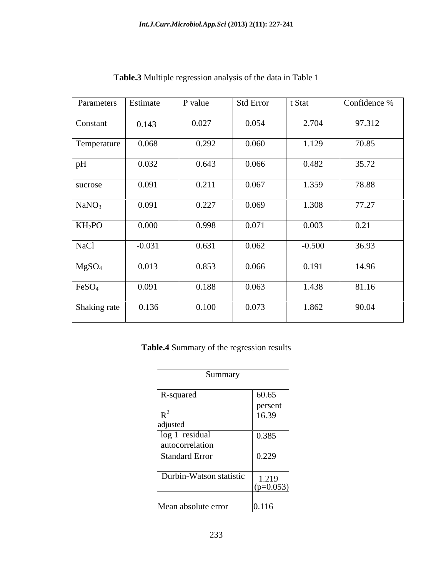| Parameters        | Estimate | P value | <b>Std Error</b> | t Stat   | Confidence % |
|-------------------|----------|---------|------------------|----------|--------------|
| Constant          | 0.143    | 0.027   | 0.054            | 2.704    | 97.312       |
| Temperature       | 0.068    | 0.292   | 0.060            | 1.129    | 70.85        |
| pH                | 0.032    | 0.643   | 0.066            | 0.482    | 35.72        |
| sucrose           | 0.091    | 0.211   | 0.067            | 1.359    | 78.88        |
| NaNO <sub>3</sub> | 0.091    | 0.227   | 0.069            | 1.308    | 77.27        |
| $KH_2PO$          | 0.000    | 0.998   | 0.071            | 0.003    | 0.21         |
| <b>NaCl</b>       | $-0.031$ | 0.631   | 0.062            | $-0.500$ | 36.93        |
| MgSO <sub>4</sub> | 0.013    | 0.853   | 0.066            | 0.191    | 14.96        |
| FeSO <sub>4</sub> | 0.091    | 0.188   | 0.063            | 1.438    | 81.16        |
| Shaking rate      | 0.136    | 0.100   | 0.073            | 1.862    | 90.04        |

**Table.3** Multiple regression analysis of the data in Table 1

**Table.4** Summary of the regression results

| Summary                 |             |  |  |  |  |  |
|-------------------------|-------------|--|--|--|--|--|
| R-squared               | 60.65       |  |  |  |  |  |
|                         | persent     |  |  |  |  |  |
| $R^2$                   | 16.39       |  |  |  |  |  |
| adjusted                |             |  |  |  |  |  |
| log 1 residual          | 0.385       |  |  |  |  |  |
| autocorrelation         |             |  |  |  |  |  |
| Standard Error          | 0.229       |  |  |  |  |  |
|                         |             |  |  |  |  |  |
| Durbin-Watson statistic | 1.219       |  |  |  |  |  |
|                         | $(p=0.053)$ |  |  |  |  |  |
| Mean absolute error     | 0.116       |  |  |  |  |  |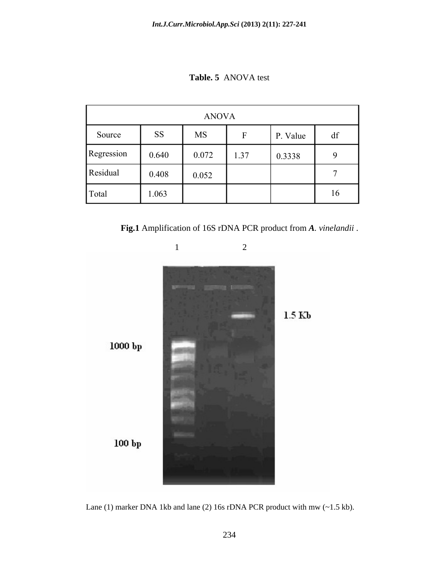**Table. 5** ANOVA test

| <b>ANOVA</b> |           |           |      |          |    |  |
|--------------|-----------|-----------|------|----------|----|--|
| Source       | <b>SS</b> | <b>MS</b> | F    | P. Value | df |  |
| Regression   | 0.640     | 0.072     | 1.37 | 0.3338   | 9  |  |
| Residual     | 0.408     | 0.052     |      |          |    |  |
| Total        | 1.063     |           |      |          | 16 |  |

**Fig.1** Amplification of 16S rDNA PCR product from *A. vinelandii* .



Lane (1) marker DNA 1kb and lane (2) 16s rDNA PCR product with mw (~1.5 kb).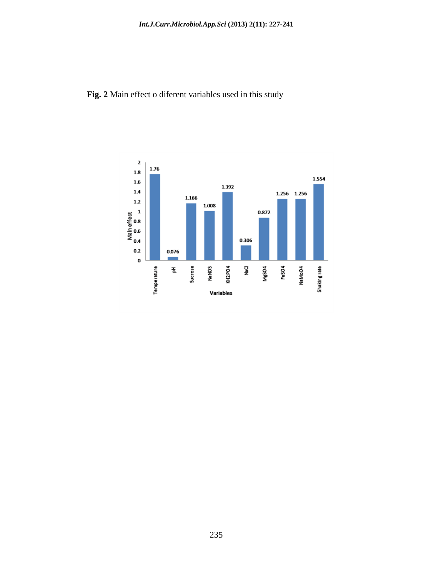# **Fig. 2** Main effect o diferent variables used in this study

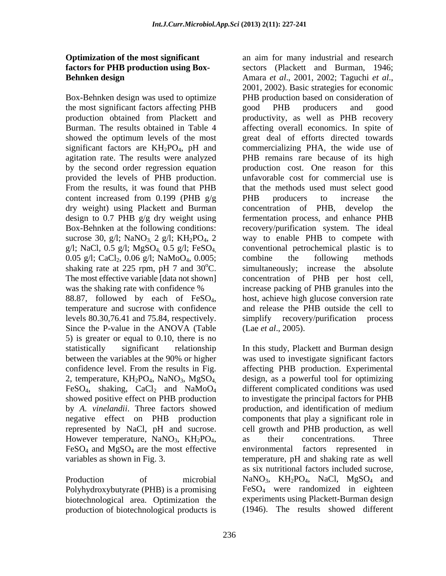## **Optimization of the most significant factors for PHB production using Box-Behnken design**

Box-Behnken design was used to optimize the most significant factors affecting PHB production obtained from Plackett and Burman. The results obtained in Table 4 showed the optimum levels of the most significant factors are  $KH_2PO_4$ , pH and agitation rate. The results were analyzed by the second order regression equation provided the levels of PHB production. From the results, it was found that PHB content increased from  $0.199$  (PHB  $g/g$ ) dry weight) using Plackett and Burman design to 0.7 PHB g/g dry weight using Box-Behnken at the following conditions: sucrose 30, g/l;  $NaNO<sub>3</sub>$ , 2 g/l;  $KH<sub>2</sub>PO<sub>4</sub>$ , 2 g/l; NaCl, 0.5 g/l; MgSO4, 0.5 g/l; FeSO4, 0.05 g/l; CaCl<sub>2</sub>, 0.06 g/l; NaMoO<sub>4</sub>, 0.005; shaking rate at 225 rpm, pH 7 and  $30^{\circ}$ C. The most effective variable [data not shown] was the shaking rate with confidence %

88.87, followed by each of FeSO4, temperature and sucrose with confidence levels 80.30,76.41 and 75.84, respectively. Since the P-value in the ANOVA (Table 5) is greater or equal to 0.10, there is no statistically significant relationship between the variables at the 90% or higher confidence level. From the results in Fig. 2, temperature,  $KH_2PO_4$ ,  $NaNO_3$ ,  $MgSO_4$ FeSO<sub>4</sub>, shaking, CaCl<sub>2</sub> and NaMoO<sub>4</sub> showed positive effect on PHB production by *A. vinelandii*. Three factors showed negative effect on PHB production represented by NaCl, pH and sucrose. However temperature,  $NaNO<sub>3</sub>$ ,  $KH<sub>2</sub>PO<sub>4</sub>$ ,  $FeSO<sub>4</sub>$  and  $MgSO<sub>4</sub>$  are the most effective variables as shown in Fig. 3.

Production of microbial Polyhydroxybutyrate (PHB) is a promising biotechnological area. Optimization the production of biotechnological products is an aim for many industrial and research sectors (Plackett and Burman, 1946; Amara *et al*., 2001, 2002; Taguchi *et al*., 2001, 2002). Basic strategies for economic PHB production based on consideration of good PHB producers and good productivity, as well as PHB recovery affecting overall economics. In spite of great deal of efforts directed towards commercializing PHA, the wide use of PHB remains rare because of its high production cost. One reason for this unfavorable cost for commercial use is that the methods used must select good PHB producers to increase the concentration of PHB, develop the fermentation process, and enhance PHB recovery/purification system. The ideal way to enable PHB to compete with conventional petrochemical plastic is to combine the following methods simultaneously; increase the absolute concentration of PHB per host cell, increase packing of PHB granules into the host, achieve high glucose conversion rate and release the PHB outside the cell to simplify recovery/purification process (Lae *et al*., 2005).

In this study, Plackett and Burman design was used to investigate significant factors affecting PHB production. Experimental design, as a powerful tool for optimizing different complicated conditions was used to investigate the principal factors for PHB production, and identification of medium components that play a significant role in cell growth and PHB production, as well as their concentrations. Three environmental factors represented in temperature, pH and shaking rate as well as six nutritional factors included sucrose, NaNO<sub>3</sub>, KH<sub>2</sub>PO<sub>4</sub>, NaCl, MgSO<sub>4</sub> and FeSO4 were randomized in eighteen experiments using Plackett-Burman design (1946). The results showed different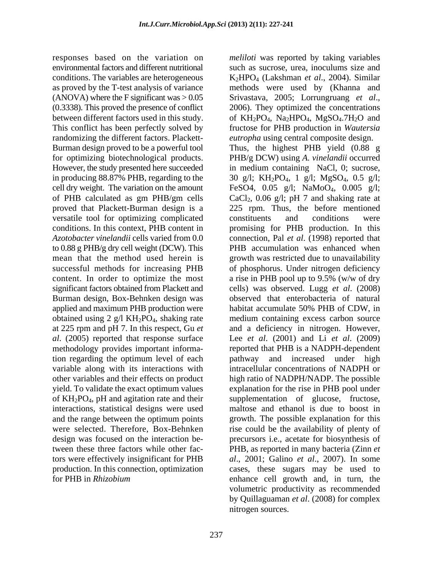responses based on the variation on environmental factors and different nutritional conditions. The variables are heterogeneous as proved by the T-test analysis of variance (ANOVA) where the F significant was  $> 0.05$ (0.3338). This proved the presence of conflict between different factors used in this study. This conflict has been perfectly solved by randomizing the different factors. Plackett-Burman design proved to be a powerful tool for optimizing biotechnological products. However, the study presented here succeeded in producing 88.87% PHB, regarding to the cell dry weight. The variation on the amount of PHB calculated as gm PHB/gm cells proved that Plackett-Burman design is a versatile tool for optimizing complicated conditions. In this context, PHB content in *Azotobacter vinelandii* cells varied from 0.0 to 0.88 g PHB/g dry cell weight (DCW). This mean that the method used herein is successful methods for increasing PHB content. In order to optimize the most significant factors obtained from Plackett and Burman design, Box-Behnken design was applied and maximum PHB production were obtained using 2 g/l  $KH_2PO_4$ , shaking rate at 225 rpm and pH 7. In this respect, Gu *et al*. (2005) reported that response surface methodology provides important information regarding the optimum level of each variable along with its interactions with other variables and their effects on product yield. To validate the exact optimum values of KH2PO4, pH and agitation rate and their interactions, statistical designs were used and the range between the optimum points were selected. Therefore, Box-Behnken design was focused on the interaction between these three factors while other factors were effectively insignificant for PHB production. In this connection, optimization for PHB in *Rhizobium* 

*meliloti* was reported by taking variables such as sucrose, urea, inoculums size and K2HPO4 (Lakshman *et al*., 2004). Similar methods were used by (Khanna and Srivastava, 2005; Lorrungruang *et al*., 2006). They optimized the concentrations of  $KH_2PO_4$ , Na<sub>2</sub>HPO<sub>4</sub>, MgSO<sub>4</sub>.7H<sub>2</sub>O and fructose for PHB production in *Wautersia eutropha* using central composite design. Thus, the highest PHB yield (0.88 g PHB/g DCW) using *A. vinelandii* occurred in medium containing NaCl, 0; sucrose, 30 g/l; KH2PO4, 1 g/l; MgSO4, 0.5 g/l; FeSO4, 0.05 g/l; NaMoO4, 0.005 g/l; CaCl<sub>2</sub>, 0.06 g/l; pH 7 and shaking rate at 225 rpm. Thus, the before mentioned constituents and conditions were promising for PHB production. In this connection, Pal *et al*. (1998) reported that PHB accumulation was enhanced when growth was restricted due to unavailability of phosphorus. Under nitrogen deficiency a rise in PHB pool up to 9.5% (w/w of dry cells) was observed. Lugg *et al*. (2008) observed that enterobacteria of natural habitat accumulate 50% PHB of CDW, in medium containing excess carbon source and a deficiency in nitrogen. However, Lee *et al*. (2001) and Li *et al*. (2009) reported that PHB is a NADPH-dependent pathway and increased under high intracellular concentrations of NADPH or high ratio of NADPH/NADP. The possible explanation for the rise in PHB pool under supplementation of glucose, fructose, maltose and ethanol is due to boost in growth. The possible explanation for this rise could be the availability of plenty of precursors i.e., acetate for biosynthesis of PHB, as reported in many bacteria (Zinn *et al*., 2001; Galino *et al*., 2007). In some cases, these sugars may be used to enhance cell growth and, in turn, the volumetric productivity as recommended by Quillaguaman *et al*. (2008) for complex nitrogen sources.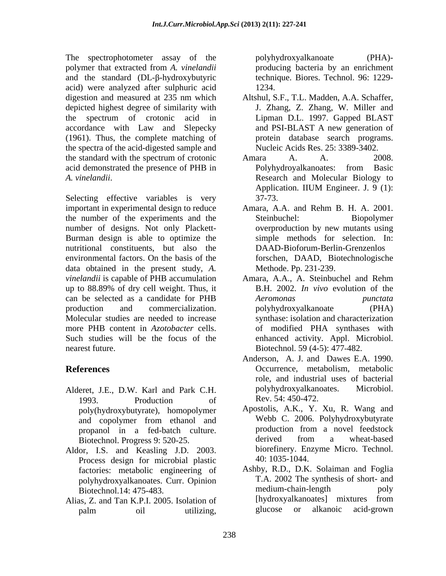The spectrophotometer assay of the polyhydroxyalkanoate (PHA)polymer that extracted from *A. vinelandii* and the standard  $(DL-\beta-hydroxybutyric)$ acid) were analyzed after sulphuric acid depicted highest degree of similarity with accordance with Law and Slepecky (1961). Thus, the complete matching of the spectra of the acid-digested sample and the standard with the spectrum of crotonic Amara A. A. 2008. acid demonstrated the presence of PHB in Polyhydroyalkanoates: from Basic

Selecting effective variables is very 37-73. important in experimental design to reduce Amara, A.A. and Rehm B. H. A. 2001. the number of the experiments and the number of designs. Not only Plackett- Burman design is able to optimize the nutritional constituents, but also the environmental factors. On the basis of the data obtained in the present study, *A. vinelandii* is capable of PHB accumulation Amara, A.A., A. Steinbuchel and Rehm up to 88.89% of dry cell weight. Thus, it can be selected as a candidate for PHB production and commercialization. polyhydroxyalkanoate (PHA) Molecular studies are needed to increase more PHB content in *Azotobacter* cells. Such studies will be the focus of the enhanced activity. Appl. Microbiol. nearest future. Biotechnol. 59 (4-5): 477-482.

- 1993. Production of Rev. 54: 450-472. poly(hydroxybutyrate), homopolymer
- Aldor, I.S. and Keasling J.D. 2003. biorefinery. Enzyme Micro. Technol.<br>Process design for microbial plastic 40:1035-1044. factories: metabolic engineering of polyhydroxyalkanoates. Curr. Opinion T.A. 2002 The synthe<br>Biotechnol 14: 475-483 medium-chain-length
- Alias, Z. and Tan K.P.I. 2005. Isolation of [hydroxyalkanoates] mixtures from palm oil utilizing glucose or alkanoic acid-grown palm oil utilizing, glucose or alkanoic acid-grown

polyhydroxyalkanoate (PHA) producing bacteria by an enrichment technique. Biores. Technol. 96: 1229- 1234.

- digestion and measured at 235 nm which the spectrum of crotonic acid in Lipman D.L. 1997. Gapped BLAST Altshul, S.F., T.L. Madden, A.A. Schaffer, J. Zhang, Z. Zhang, W. Miller and Lipman D.L. 1997. Gapped BLAST and PSI-BLAST A new generation of protein database search programs. Nucleic Acids Res. 25: 3389-3402.
- *A. vinelandii*. Research and Molecular Biology to Amara A. A. 2008. Polyhydroyalkanoates: from Basic Application. IIUM Engineer. J. 9 (1): 37-73.
	- Amara, A.A. and Rehm B. H. A. 2001. Steinbuchel: Biopolymer overproduction by new mutants using simple methods for selection. In: DAAD-Bioforum-Berlin-Grenzenlos forschen, DAAD, Biotechnologische Methode. Pp. 231-239.
	- B.H. 2002. *In vivo* evolution of the *Aeromonas punctata* polyhydroxyalkanoate (PHA) synthase: isolation and characterization of modified PHA synthases with enhanced activity. Appl. Microbiol.<br>Biotechnol. 59 (4-5): 477-482.
- **References** Occurrence, metabolism, metabolic Alderet, J.E., D.W. Karl and Park C.H. polyhydroxyalkanoates. Microbiol. Anderson, A. J. and Dawes E.A. 1990. role, and industrial uses of bacterial polyhydroxyalkanoates. Rev. 54: 450-472.
	- and copolymer from ethanol and Webb C. 2006. Polyhydroxybutyrate propanol in a fed-batch culture. production from a novel feedstock<br>Biotechnol Progress 9:520-25 derived from a wheat-based Biotechnol. Progress 9: 520-25. derived from a wheat-based<br>or IS and Keasling ID 2003 biorefinery. Enzyme Micro. Technol. Apostolis, A.K., Y. Xu, R. Wang and Webb C. 2006. Polyhydroxybutyrate production from a novel feedstock derived from a wheat-based biorefinery. Enzyme Micro. Technol. 40: 1035-1044.
	- Biotechnol.14: 475-483. medium-chain-length poly<br>as Z and Tan K P I 2005 Isolation of [hydroxyalkanoates] mixtures from Ashby, R.D., D.K. Solaiman and Foglia T.A. 2002 The synthesis of short- and medium-chain-length poly [hydroxyalkanoates] mixtures from glucose or alkanoic acid-grown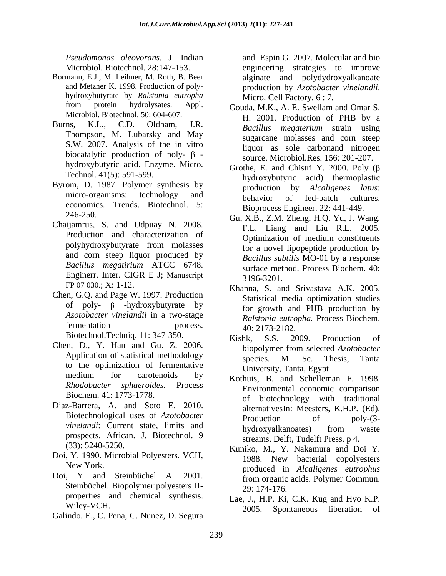- Bormann, E.J., M. Leihner, M. Roth, B. Beer alginate and polydydroxyalkanoate and Metzner K. 1998. Production of poly-<br>production by Azotobacter vinelandii. hydroxybutyrate by *Ralstonia eutropha*
- Thompson, M. Lubarsky and May S.W. 2007. Analysis of the in vitro biocatalytic production of poly- $\beta$  hydroxybutyric acid. Enzyme. Micro.
- Byrom, D. 1987. Polymer synthesis by economics. Trends. Biotechnol. 5:
- Chaijamrus, S. and Udpuay N. 2008. F.L. Liang and Liu R.L. 2005.<br>Production and characterization of predium constituents and corn steep liquor produced by<br>Bacillus megatirium ATCC 6748. Enginerr. Inter. CIGR E J; Manuscript 3196-3201.
- Chen, G.Q. and Page W. 1997. Production of poly-  $\beta$  -hydroxybutyrate by
- Chen, D., Y. Han and Gu. Z. 2006.<br>Application of statistical methodology<br>Secies M. Sc. Thesis Tanta medium for carotenoids by  $K$ othuis B and Schelleman F 1998
- Diaz-Barrera, A. and Soto E. 2010. alternatives In: Meesters, K.H.P. (Ed). prospects. African. J. Biotechnol. 9
- Doi, Y. 1990. Microbial Polyesters. VCH, 1988. New bacterial copolyesters
- Doi, Y and Steinbüchel A. 2001. from organic acids. Polymer Commun. Steinbüchel. Biopolymer: polyesters II-<br>29: 174-176. properties and chemical synthesis.
- Galindo. E., C. Pena, C. Nunez, D. Segura

*Pseudomonas oleovorans.* J. Indian and Espin G. 2007. Molecular and bio Microbiol. Biotechnol. 28:147-153. engineering strategies to improve production by *Azotobacter vinelandii*. Micro. Cell Factory. 6 : 7.

- from protein hydrolysates. Appl. Gouda, M.K., A. E. Swellam and Omar S.<br>Microbiol. Biotechnol. 50: 604-607. H 2001 Production of PHR by a Burns, K.L., C.D. Oldham, J.R. *Bacillus megaterium* strain using Gouda, M.K., A. E. Swellam and Omar S. H. 2001. Production of PHB by a sugarcane molasses and corn steep liquor as sole carbonand nitrogen source. Microbiol.Res. 156: 201-207.
	- Technol. 41(5): 591-599. hydroxybutyric acid) thermoplastic micro-organisms: technology and behavior of fed-batch cultures. Grothe, E. and Chistri Y. 2000. Poly  $(\beta$ production by *Alcaligenes latus*: behavior of fed-batch cultures. Bioprocess Engineer. 22: 441-449.
	- $246-250.$  Gu, X.B., Z.M. Zheng, H.Q. Yu, J. Wang, polyhydroxybutyrate from molasses for a novel linonentide production by *Bacillus megatirium* ATCC 6748. F.L. Liang and Liu R.L. 2005. Optimization of medium constituents for a novel lipopeptide production by *Bacillus subtilis* MO-01 by a response surface method. Process Biochem. 40: 3196-3201.
	- FP 07 030.; X: 1-12. Khanna, S. and Srivastava A.K. 2005. *Azotobacter vinelandii* in a two-stage *Ralstonia eutropha*. Process Biochem. fermentation process.  $40.2173.2182$ Statistical media optimization studies for growth and PHB production by *Ralstonia eutropha.* Process Biochem. 40: 2173-2182.
	- Biotechnol.Techniq. 11: 347-350. Kishk, S.S. 2009. Production of Application of statistical methodology<br>to the optimization of fermentative This Testa Fourt Kishk, S.S. 2009. Production of biopolymer from selected *Azotobacter* species. M. Sc. Thesis, Tanta University, Tanta, Egypt.
	- meatum for carotenoids by Kothuis, B. and Schelleman F. 1998.<br>Rhodobacter sphaeroides. Process **Environmental economic comparison** Biochem. 41: 1773-1778. of biotechnology with traditional Biotechnological uses of *Azotobacter* **Production** of poly-(3*vinelandi*: Current state, limits and **hydroxyalkanoates** from waste Kothuis, B. and Schelleman F. 1998. Environmental economic comparison alternativesIn: Meesters, K.H.P. (Ed).<br>Production of poly-(3hydroxyalkanoates) from waste streams. Delft, Tudelft Press. p 4.
	- $(x_3)$ : 5240-5250. Kuniko, M., Y. Nakamura and Doi Y. New York. produced in *Alcaligenes eutrophus* Kuniko, M., Y. Nakamura and Doi Y. 1988. New bacterial copolyesters from organic acids. Polymer Commun. 29: 174-176.
	- Wiley-VCH. 2005. Spontaneous liberation of Lae, J., H.P. Ki, C.K. Kug and Hyo K.P.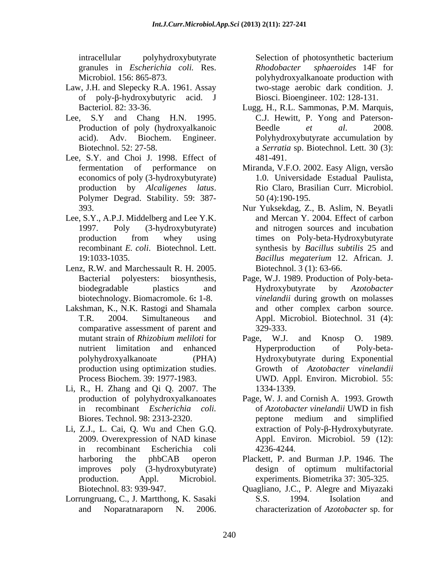intracellular polyhydroxybutyrate Selection of photosynthetic bacterium granules in *Escherichia coli.* Res.

- Law, J.H. and Slepecky R.A. 1961. Assay two-stage aerobic dark condition. J. of poly- $\beta$ -hydroxybutyric acid. J Biosci. Bioengineer. 102: 128-131.
- 
- Lee, S.Y. and Choi J. 1998. Effect of 481-491. economics of poly (3-hydroxybutyrate)
- 
- Lenz, R.W. and Marchessault R. H. 2005. Biotechnol. 3 (1): 63-66.<br>Bacterial polyesters: biosynthesis, Page, W.J. 1989. Production of Poly-beta-
- Lakshman, K., N.K. Rastogi and Shamala comparative assessment of parent and production using optimization studies.
- Li, R., H. Zhang and Qi Q. 2007. The
- Li, Z.J., L. Cai, Q. Wu and Chen G.Q. in recombinant Escherichia coli production. Appl. Microbiol. Biotechnol. 83: 939-947. Quagliano, J.C., P. Alegre and Miyazaki
- Lorrungruang, C., J. Martthong, K. Sasaki and Noparatnaraporn N. 2006. characterization of *Azotobacter* sp. for

Microbiol. 156: 865-873. polyhydroxyalkanoate production with Selection of photosynthetic bacterium *Rhodobacter sphaeroides* 14F for two-stage aerobic dark condition. J. Biosci. Bioengineer. 102: 128-131.

- Bacteriol. 82: 33-36. Lugg, H., R.L. Sammonas, P.M. Marquis, Lee, S.Y and Chang H.N. 1995. C.J. Hewitt, P. Yong and Paterson-<br>Production of poly (hydroxyalkanoic Beedle et al. 2008. acid). Adv. Biochem. Engineer. Biotechnol. 52: 27-58. **a** *Serratia* sp. Biotechnol. Lett. 30 (3): C.J. Hewitt, P. Yong and Paterson- Beedle *et al*. 2008. Polyhydroxybutyrate accumulation by 481-491.
	- fermentation of performance on Miranda, V.F.O. 2002. Easy Align, versão production by *Alcaligenes latus*. Rio Claro, Brasilian Curr. Microbiol.<br>Polymer Degrad. Stability. 59: 387- 50 (4):190-195. 1.0. Universidade Estadual Paulista, Rio Claro, Brasilian Curr. Microbiol. 50 (4):190-195.
- 393. Nur Yuksekdag, Z., B. Aslim, N. Beyatli Lee, S.Y., A.P.J. Middelberg and Lee Y.K. and Mercan Y. 2004. Effect of carbon<br>1997. Poly (3-hydroxybutyrate) and nitrogen sources and incubation production from whey using times on Poly-beta-Hydroxybutyrate recombinant *E. coli*. Biotechnol. Lett. synthesis by *Bacillus subtilis* 25 and 19:1033-1035. Bacillus megaterium 12. African. J. and Mercan Y. 2004. Effect of carbon and nitrogen sources and incubation times on Poly-beta-Hydroxybutyrate *Bacillus megaterium* 12. African. J. Biotechnol. 3 (1): 63-66.
	- biodegradable plastics and Hydroxybutyrate by Azotobacter biotechnology. Biomacromole. 6**:** 1-8. *vinelandii* during growth on molasses T.R. 2004. Simultaneous and Appl. Microbiol. Biotechnol. 31 (4): Page, W.J. 1989. Production of Poly-beta- Hydroxybutyrate by *Azotobacter*  and other complex carbon source. 329-333.
	- mutant strain of *Rhizobium meliloti* for Page, W.J. and Knosp O. 1989. nutrient limitation and enhanced polyhydroxyalkanoate (PHA) Hydroxybutyrate during Exponential Process Biochem. 39: 1977-1983. UWD. Appl. Environ. Microbiol. 55: Page, W.J. and Knosp O. 1989. Hyperproduction of Poly-beta- Growth of *Azotobacter vinelandii* 1334-1339.
	- production of polyhydroxyalkanoates Page, W. J. and Cornish A. 1993. Growth in recombinant *Escherichia coli.* Biores. Technol. 98: 2313-2320. 2009. Overexpression of NAD kinase Appl. Environ. Microbiol. 59 (12): of *Azotobacter vinelandii* UWD in fish peptone medium and simplified extraction of Poly- $\beta$ -Hydroxybutyrate. 4236-4244.
	- harboring the phbCAB operon Plackett, P. and Burman J.P. 1946. The improves poly (3-hydroxybutyrate) design of optimum multifactorial experiments. Biometrika 37: 305-325.
		- S.S. 1994. Isolation and